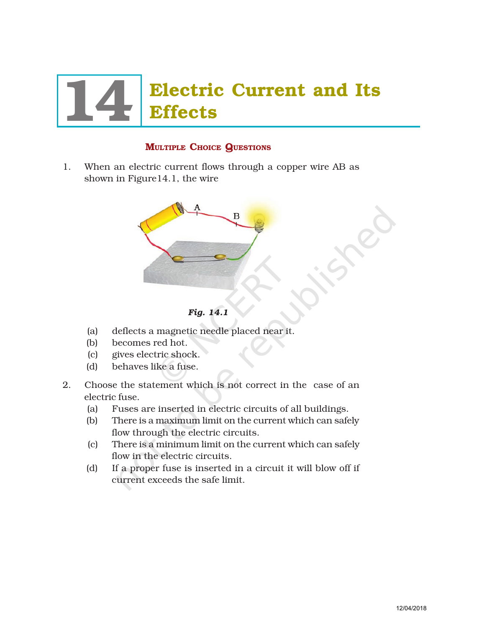# **Electric Current and Its Effects**

# MULTIPLE CHOICE QUESTIONS

1. When an electric current flows through a copper wire AB as shown in Figure14.1, the wire



*Fig. 14.1*

- (a) deflects a magnetic needle placed near it.
- (b) becomes red hot.
- (c) gives electric shock.
- (d) behaves like a fuse.
- 2. Choose the statement which is not correct in the case of an electric fuse.
	- (a) Fuses are inserted in electric circuits of all buildings.
	- (b) There is a maximum limit on the current which can safely flow through the electric circuits.
	- (c) There is a minimum limit on the current which can safely flow in the electric circuits.
	- (d) If a proper fuse is inserted in a circuit it will blow off if current exceeds the safe limit.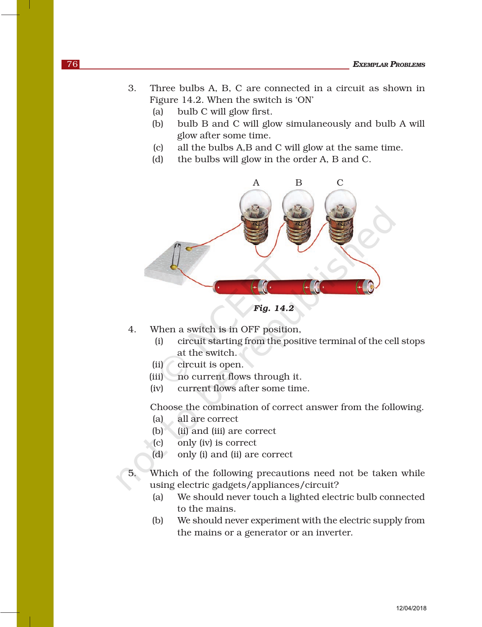- 3. Three bulbs A, B, C are connected in a circuit as shown in Figure 14.2. When the switch is 'ON'
	- (a) bulb C will glow first.
	- (b) bulb B and C will glow simulaneously and bulb A will glow after some time.
	- (c) all the bulbs A,B and C will glow at the same time.
	- (d) the bulbs will glow in the order A, B and C.



*Fig. 14.2*

- 4. When a switch is in OFF position,
	- (i) circuit starting from the positive terminal of the cell stops at the switch.
	- (ii) circuit is open.
	- (iii) no current flows through it.
	- (iv) current flows after some time.

Choose the combination of correct answer from the following.

- (a) all are correct
- (b) (ii) and (iii) are correct
- (c) only (iv) is correct
- (d) only (i) and (ii) are correct
- 5. Which of the following precautions need not be taken while using electric gadgets/appliances/circuit?
	- (a) We should never touch a lighted electric bulb connected to the mains.
	- (b) We should never experiment with the electric supply from the mains or a generator or an inverter.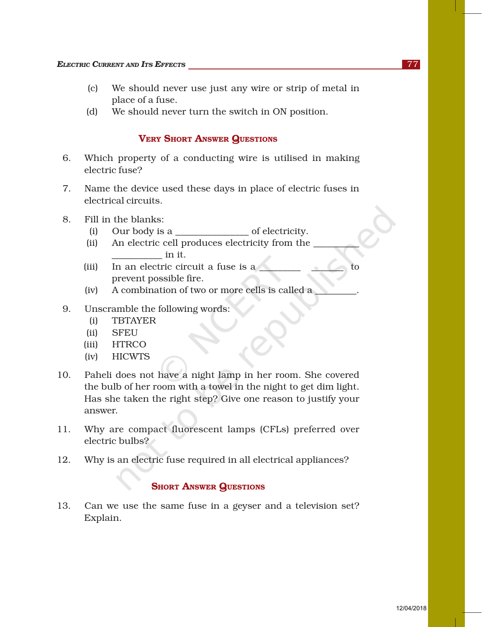- (c) We should never use just any wire or strip of metal in place of a fuse.
- (d) We should never turn the switch in ON position.

## VERY SHORT ANSWER QUESTIONS

- 6. Which property of a conducting wire is utilised in making electric fuse?
- 7. Name the device used these days in place of electric fuses in electrical circuits.
- 8. Fill in the blanks:
	- (i) Our body is a  $\qquad \qquad$  of electricity.
	- (ii) An electric cell produces electricity from the \_\_\_\_\_\_\_\_\_\_ \_\_\_\_\_\_\_\_\_\_\_ in it.
	- (iii) In an electric circuit a fuse is a prevent possible fire.
	- (iv) A combination of two or more cells is called a \_\_\_\_\_\_\_\_\_.
- 9. Unscramble the following words:
	- (i) TBTAYER
	- (ii) SFEU
	- (iii) HTRCO
	- (iv) HICWTS
- 10. Paheli does not have a night lamp in her room. She covered the bulb of her room with a towel in the night to get dim light. Has she taken the right step? Give one reason to justify your answer.
- 11. Why are compact fluorescent lamps (CFLs) preferred over electric bulbs?
- 12. Why is an electric fuse required in all electrical appliances?

### **SHORT ANSWER QUESTIONS**

13. Can we use the same fuse in a geyser and a television set? Explain.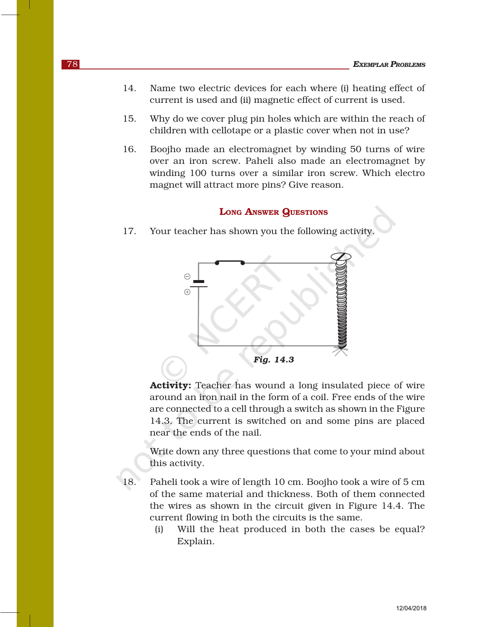- 14. Name two electric devices for each where (i) heating effect of current is used and (ii) magnetic effect of current is used.
- 15. Why do we cover plug pin holes which are within the reach of children with cellotape or a plastic cover when not in use?
- 16. Boojho made an electromagnet by winding 50 turns of wire over an iron screw. Paheli also made an electromagnet by winding 100 turns over a similar iron screw. Which electro magnet will attract more pins? Give reason.

### LONG ANSWER QUESTIONS

17. Your teacher has shown you the following activity.



Activity: Teacher has wound a long insulated piece of wire around an iron nail in the form of a coil. Free ends of the wire are connected to a cell through a switch as shown in the Figure 14.3. The current is switched on and some pins are placed near the ends of the nail.

Write down any three questions that come to your mind about this activity.

18. Paheli took a wire of length 10 cm. Boojho took a wire of 5 cm of the same material and thickness. Both of them connected the wires as shown in the circuit given in Figure 14.4. The current flowing in both the circuits is the same.

> (i) Will the heat produced in both the cases be equal? Explain.